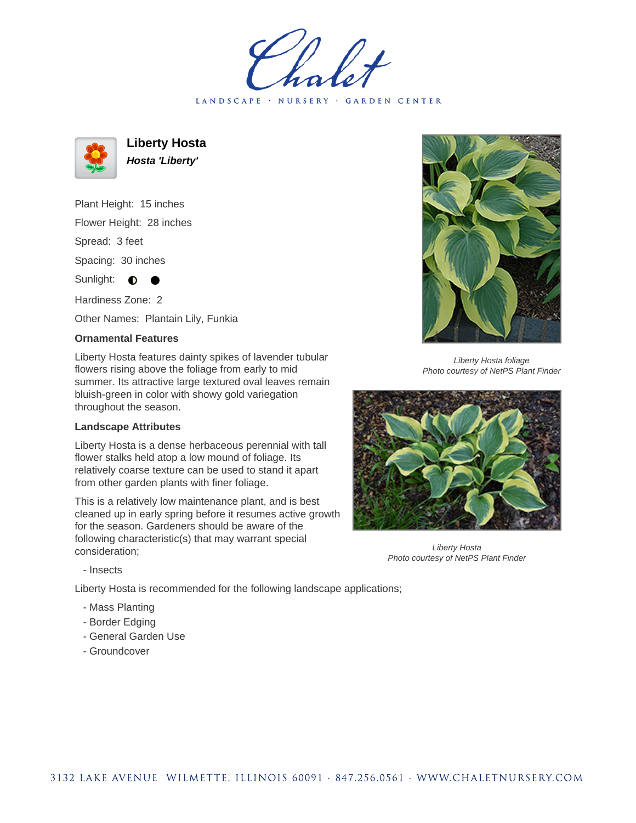LANDSCAPE · NURSERY · GARDEN CENTER



**Liberty Hosta Hosta 'Liberty'**

Plant Height: 15 inches Flower Height: 28 inches Spread: 3 feet Spacing: 30 inches Sunlight:  $\bullet$ 

Hardiness Zone: 2

Other Names: Plantain Lily, Funkia

## **Ornamental Features**

Liberty Hosta features dainty spikes of lavender tubular flowers rising above the foliage from early to mid summer. Its attractive large textured oval leaves remain bluish-green in color with showy gold variegation throughout the season.

## **Landscape Attributes**

Liberty Hosta is a dense herbaceous perennial with tall flower stalks held atop a low mound of foliage. Its relatively coarse texture can be used to stand it apart from other garden plants with finer foliage.

This is a relatively low maintenance plant, and is best cleaned up in early spring before it resumes active growth for the season. Gardeners should be aware of the following characteristic(s) that may warrant special consideration;



Liberty Hosta foliage Photo courtesy of NetPS Plant Finder



Liberty Hosta Photo courtesy of NetPS Plant Finder

- Insects

Liberty Hosta is recommended for the following landscape applications;

- Mass Planting
- Border Edging
- General Garden Use
- Groundcover